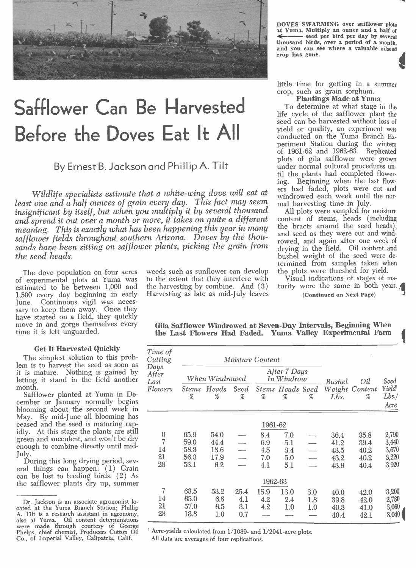

# Safflower Can Be Harvested To determine at what stage is Before the Doves Eat It All

By Ernest B. Jackson and Phillip A. Tilt

Wildlife specialists estimate that a white-wing dove will eat at least one and a half ounces of grain every day. This fact may seem and harvesting time in July.<br>insignificant by itself, but when you multiply it by several thousand All plots were sampled for moisture insignificant by itself, but when you multiply it by several thousand and spread it out over a month or more, it takes on quite a different meaning. This is exactly what has been happening this year in many the bracts around the seed heads), safflower fields throughout southern Arizona. Doves by the thousafflower fields throughout southern Arizona. Doves by the thou-<br>sands have been sitting on safflower plants, picking the grain from drying in the field. Oil content and the seed heads.

The dove population on four acres of experimental plots at Yuma was estimated to be between 1,000 and 1,500 every day beginning in early June. Continuous vigil was necessary to keep them away. Once they have started on a field, they quickly move in and gorge themselves every time it is left unguarded.

#### Get It Harvested Quickly

The simplest solution to this problem is to harvest the seed as soon as it is mature. Nothing is gained by letting it stand in the field another

month.<br>Safflower planted at Yuma in December or January normally begins<br>blooming about the second week in<br>May. By mid-June all blooming has<br>ceased and the seed is maturing rapidly. At this stage the plants are still green and succulent, and won't be dry enough to combine directly until mid-July.

During this long drying period, several things can happen: (1) Grain can be lost to feeding birds. (2) As the safflower plants dry up, summer

weeds such as sunflower can develop to the extent that they interfere with the harvesting by combine. And (3) Harvesting as late as mid-July leaves DOVES SWARMING over safflower plots at Yuma. Multiply an ounce and a half of  $\leftarrow$  seed per bird per day by several thousand birds, over a period of a month, and you can see where a valuable oilseed crop has gone.

little time for getting in a summer crop, such as grain sorghum.

To determine at what stage in the life cycle of the safflower plant the seed can be harvested without loss of<br>yield or quality, an experiment was conducted on the Yuma Branch Experiment Station during the winters of 1961 -62 and 1962 -63. Replicated plots of gila safflower were grown under normal cultural procedures until the plants had completed flower-<br>ing. Beginning when the last flowing. Beginning when the last flow-<br>ers had faded, plots were cut and<br>windrowed each week until the normal harvesting time in July.

content of stems, heads (including the bracts around the seed heads), drying in the field. Oil content and bushel weight of the seed were determined from samples taken when the plots were threshed for yield.

Visual indications of stages of maturity were the same in both years. (Continued on Next Page)

|  |  |  | Gila Safflower Windrowed at Seven-Day Intervals, Beginning When |  |
|--|--|--|-----------------------------------------------------------------|--|
|  |  |  | the Last Flowers Had Faded. Yuma Valley Experimental Farm       |  |

| Time of<br>Cutting    |                   |                | <b>Moisture Content</b> |                            |                              |                                        |        |                                   |                       |
|-----------------------|-------------------|----------------|-------------------------|----------------------------|------------------------------|----------------------------------------|--------|-----------------------------------|-----------------------|
| Days<br>After<br>Last |                   | When Windrowed |                         | After 7 Days<br>In Windrow |                              |                                        | Bushel | Oil                               | Seed                  |
| Flowers               | <b>Stems</b><br>% | Heads<br>%     | <b>Seed</b><br>%        | $\%$                       | <b>Stems Heads Seed</b><br>% | $% \mathcal{D}^{\prime}_{\mathcal{A}}$ | Lbs.   | Weight Content<br>$% \mathcal{D}$ | Yield<br>Lbs.<br>Acre |
|                       |                   |                |                         | 1961-62                    |                              |                                        |        |                                   |                       |
| $\bf{0}$              | 65.9              | 54.0           |                         | 8.4                        | 7.0                          |                                        | 36.4   | 35.8                              | 2,790                 |
| $\overline{7}$        | 59.0              | 44.4           |                         | 6.9                        | 5.1                          |                                        | 41.2   | 39.4                              | 3,440                 |
| 14                    | 58.3              | 18.6           |                         | 4.5                        | 3.4                          |                                        | 43.5   | 40.2                              | 3,670                 |
| 21                    | 56.3              | 17.9           |                         | 7.0                        | 5.0                          |                                        | 43.2   | 40.2                              | 3,220                 |
| 28                    | 53.1              | 6.2            |                         | 4.1                        | 5.1                          |                                        | 43.9   | 40.4                              | 3,920                 |
|                       |                   |                |                         | 1962-63                    |                              |                                        |        |                                   |                       |
| $\overline{7}$        | 63.5              | 53.2           | 25.4                    | 15.9                       | 13.0                         | 3.0                                    | 40.0   | 42.0                              | 3,200                 |
| 14                    | 65.0              | 6.8            | 4.1                     | 4.2                        | 2.4                          | 1.8                                    | 39.8   | 42.0                              | 2,780                 |
| 21                    | 57.0              | 6.5            | 3.1                     | 4.2                        | 1.0                          | 1.0                                    | 40.3   | 41.0                              | 3,060                 |
| 28                    | 13.8              | 1.0            | 0.7                     |                            |                              |                                        | 40.4   | 42.1                              | 3,040                 |

<sup>1</sup> Acre-yields calculated from 1/1089- and 1/2041-acre plots.

All data are averages of four replications.

Dr. Jackson is an associate agronomist lo-<br>cated at the Yuma Branch Station; Phillip<br>A. Tilt is a research assistant in agronomy,<br>also at Yuma. Oil content determinations<br>were made through courtesy of George Phelps, chief chemist, Producers Cotton Oil Co., of Imperial Valley, Calipatria, Calif.